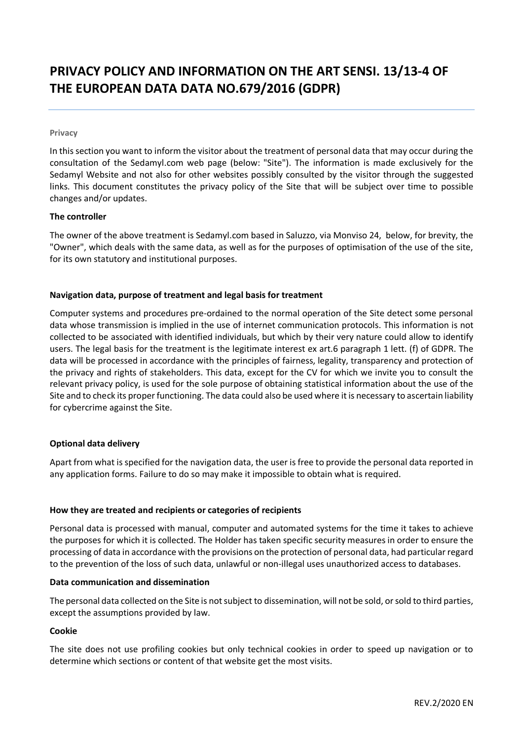# **PRIVACY POLICY AND INFORMATION ON THE ART SENSI. 13/13-4 OF THE EUROPEAN DATA DATA NO.679/2016 (GDPR)**

#### **Privacy**

In this section you want to inform the visitor about the treatment of personal data that may occur during the consultation of the Sedamyl.com web page (below: "Site"). The information is made exclusively for the Sedamyl Website and not also for other websites possibly consulted by the visitor through the suggested links. This document constitutes the privacy policy of the Site that will be subject over time to possible changes and/or updates.

## **The controller**

The owner of the above treatment is Sedamyl.com based in Saluzzo, via Monviso 24, below, for brevity, the "Owner", which deals with the same data, as well as for the purposes of optimisation of the use of the site, for its own statutory and institutional purposes.

# **Navigation data, purpose of treatment and legal basis for treatment**

Computer systems and procedures pre-ordained to the normal operation of the Site detect some personal data whose transmission is implied in the use of internet communication protocols. This information is not collected to be associated with identified individuals, but which by their very nature could allow to identify users. The legal basis for the treatment is the legitimate interest ex art.6 paragraph 1 lett. (f) of GDPR. The data will be processed in accordance with the principles of fairness, legality, transparency and protection of the privacy and rights of stakeholders. This data, except for the CV for which we invite you to consult the relevant privacy policy, is used for the sole purpose of obtaining statistical information about the use of the Site and to check its proper functioning. The data could also be used where it is necessary to ascertain liability for cybercrime against the Site.

# **Optional data delivery**

Apart from what is specified for the navigation data, the user is free to provide the personal data reported in any application forms. Failure to do so may make it impossible to obtain what is required.

# **How they are treated and recipients or categories of recipients**

Personal data is processed with manual, computer and automated systems for the time it takes to achieve the purposes for which it is collected. The Holder has taken specific security measures in order to ensure the processing of data in accordance with the provisions on the protection of personal data, had particular regard to the prevention of the loss of such data, unlawful or non-illegal uses unauthorized access to databases.

#### **Data communication and dissemination**

The personal data collected on the Site is not subject to dissemination, will not be sold, or sold to third parties, except the assumptions provided by law.

#### **Cookie**

The site does not use profiling cookies but only technical cookies in order to speed up navigation or to determine which sections or content of that website get the most visits.